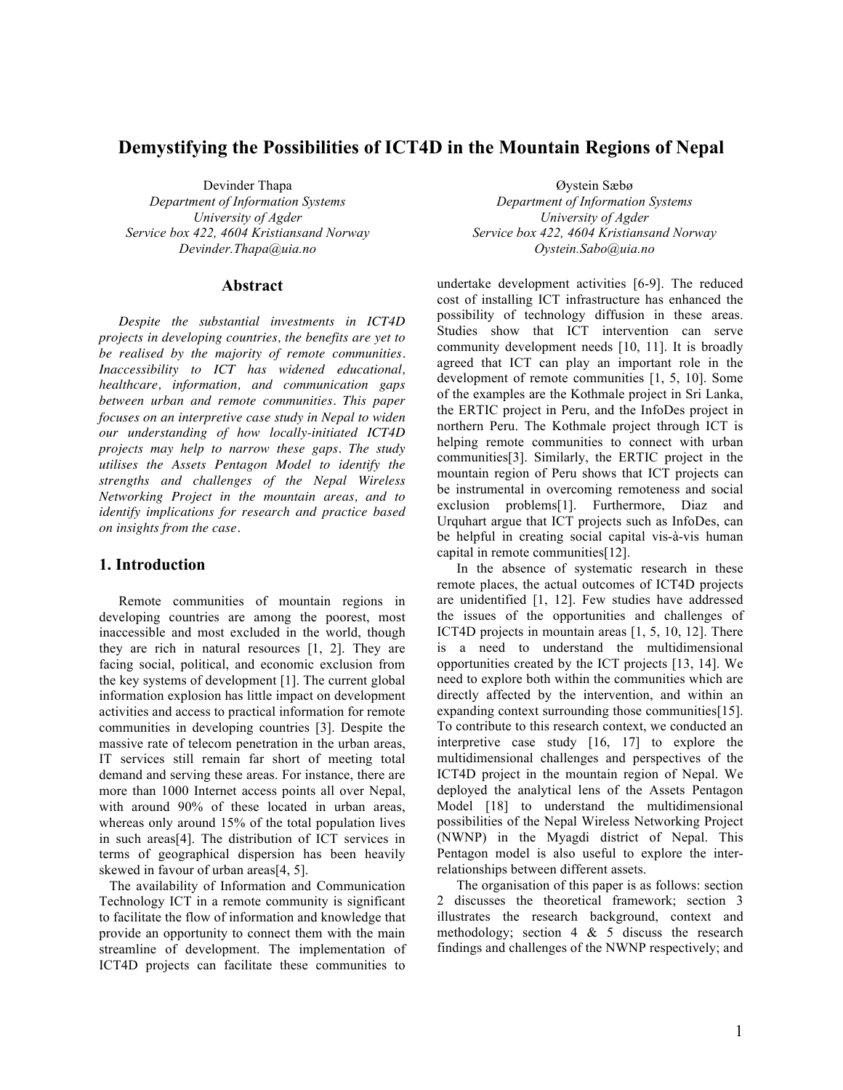# **Demystifying the Possibilities of ICT4D in the Mountain Regions of Nepal**

Devinder Thapa *Department of Information Systems University of Agder Service box 422, 4604 Kristiansand Norway Devinder.Thapa@uia.no*

#### **Abstract**

*Despite the substantial investments in ICT4D projects in developing countries, the benefits are yet to be realised by the majority of remote communities. Inaccessibility to ICT has widened educational, healthcare, information, and communication gaps between urban and remote communities. This paper focuses on an interpretive case study in Nepal to widen our understanding of how locally-initiated ICT4D projects may help to narrow these gaps. The study utilises the Assets Pentagon Model to identify the strengths and challenges of the Nepal Wireless Networking Project in the mountain areas, and to identify implications for research and practice based on insights from the case.* 

# **1. Introduction**

Remote communities of mountain regions in developing countries are among the poorest, most inaccessible and most excluded in the world, though they are rich in natural resources [1, 2]. They are facing social, political, and economic exclusion from the key systems of development [1]. The current global information explosion has little impact on development activities and access to practical information for remote communities in developing countries [3]. Despite the massive rate of telecom penetration in the urban areas, IT services still remain far short of meeting total demand and serving these areas. For instance, there are more than 1000 Internet access points all over Nepal, with around 90% of these located in urban areas, whereas only around 15% of the total population lives in such areas[4]. The distribution of ICT services in terms of geographical dispersion has been heavily skewed in favour of urban areas[4, 5].

 The availability of Information and Communication Technology ICT in a remote community is significant to facilitate the flow of information and knowledge that provide an opportunity to connect them with the main streamline of development. The implementation of ICT4D projects can facilitate these communities to

Øystein Sæbø *Department of Information Systems University of Agder Service box 422, 4604 Kristiansand Norway Oystein.Sabo@uia.no*

undertake development activities [6-9]. The reduced cost of installing ICT infrastructure has enhanced the possibility of technology diffusion in these areas. Studies show that ICT intervention can serve community development needs [10, 11]. It is broadly agreed that ICT can play an important role in the development of remote communities [1, 5, 10]. Some of the examples are the Kothmale project in Sri Lanka, the ERTIC project in Peru, and the InfoDes project in northern Peru. The Kothmale project through ICT is helping remote communities to connect with urban communities[3]. Similarly, the ERTIC project in the mountain region of Peru shows that ICT projects can be instrumental in overcoming remoteness and social exclusion problems[1]. Furthermore, Diaz and Urquhart argue that ICT projects such as InfoDes, can be helpful in creating social capital vis-à-vis human capital in remote communities[12].

In the absence of systematic research in these remote places, the actual outcomes of ICT4D projects are unidentified [1, 12]. Few studies have addressed the issues of the opportunities and challenges of ICT4D projects in mountain areas [1, 5, 10, 12]. There is a need to understand the multidimensional opportunities created by the ICT projects [13, 14]. We need to explore both within the communities which are directly affected by the intervention, and within an expanding context surrounding those communities[15]. To contribute to this research context, we conducted an interpretive case study [16, 17] to explore the multidimensional challenges and perspectives of the ICT4D project in the mountain region of Nepal. We deployed the analytical lens of the Assets Pentagon Model [18] to understand the multidimensional possibilities of the Nepal Wireless Networking Project (NWNP) in the Myagdi district of Nepal. This Pentagon model is also useful to explore the interrelationships between different assets.

The organisation of this paper is as follows: section 2 discusses the theoretical framework; section 3 illustrates the research background, context and methodology; section  $4 \& 5$  discuss the research findings and challenges of the NWNP respectively; and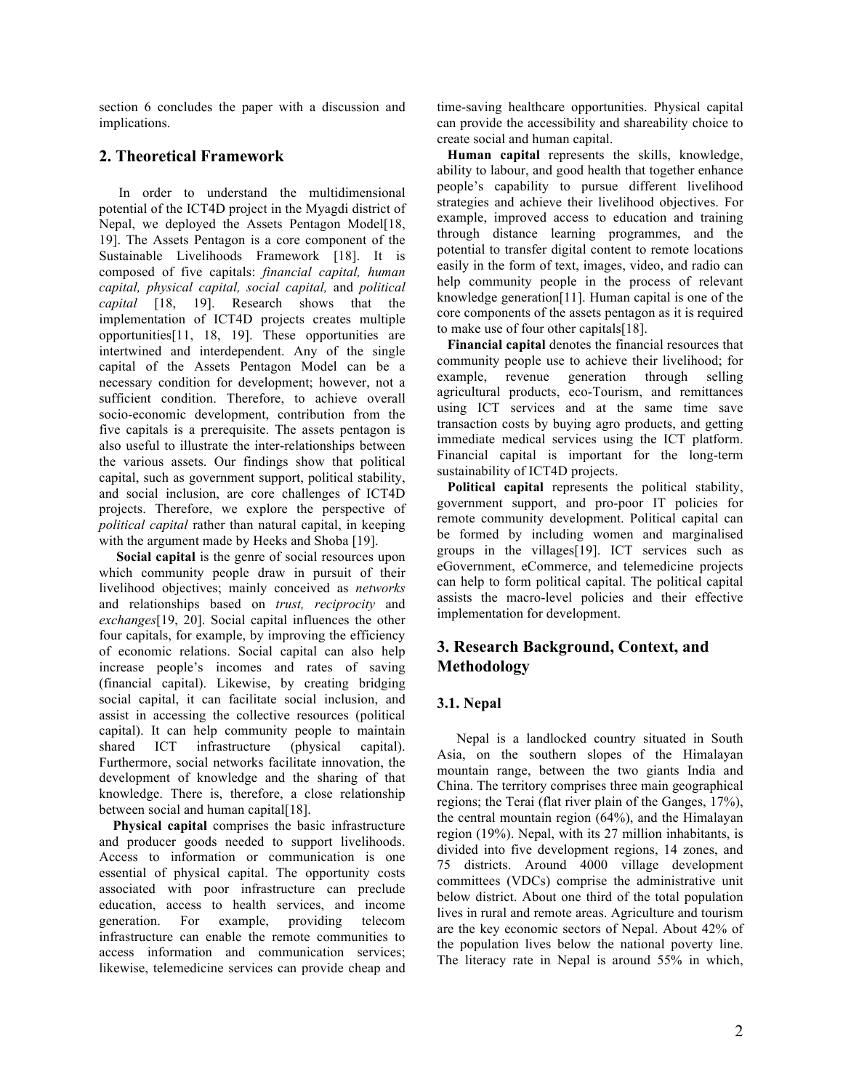section 6 concludes the paper with a discussion and implications.

# **2. Theoretical Framework**

In order to understand the multidimensional potential of the ICT4D project in the Myagdi district of Nepal, we deployed the Assets Pentagon Model<sup>[18]</sup>, 19]. The Assets Pentagon is a core component of the Sustainable Livelihoods Framework [18]. It is composed of five capitals: *financial capital, human capital, physical capital, social capital,* and *political capital* [18, 19]. Research shows that the implementation of ICT4D projects creates multiple opportunities[11, 18, 19]. These opportunities are intertwined and interdependent. Any of the single capital of the Assets Pentagon Model can be a necessary condition for development; however, not a sufficient condition. Therefore, to achieve overall socio-economic development, contribution from the five capitals is a prerequisite. The assets pentagon is also useful to illustrate the inter-relationships between the various assets. Our findings show that political capital, such as government support, political stability, and social inclusion, are core challenges of ICT4D projects. Therefore, we explore the perspective of *political capital* rather than natural capital, in keeping with the argument made by Heeks and Shoba [19].

 **Social capital** is the genre of social resources upon which community people draw in pursuit of their livelihood objectives; mainly conceived as *networks* and relationships based on *trust, reciprocity* and *exchanges*[19, 20]. Social capital influences the other four capitals, for example, by improving the efficiency of economic relations. Social capital can also help increase people's incomes and rates of saving (financial capital). Likewise, by creating bridging social capital, it can facilitate social inclusion, and assist in accessing the collective resources (political capital). It can help community people to maintain shared ICT infrastructure (physical capital). Furthermore, social networks facilitate innovation, the development of knowledge and the sharing of that knowledge. There is, therefore, a close relationship between social and human capital<sup>[18]</sup>.

 **Physical capital** comprises the basic infrastructure and producer goods needed to support livelihoods. Access to information or communication is one essential of physical capital. The opportunity costs associated with poor infrastructure can preclude education, access to health services, and income generation. For example, providing telecom infrastructure can enable the remote communities to access information and communication services; likewise, telemedicine services can provide cheap and time-saving healthcare opportunities. Physical capital can provide the accessibility and shareability choice to create social and human capital.

 **Human capital** represents the skills, knowledge, ability to labour, and good health that together enhance people's capability to pursue different livelihood strategies and achieve their livelihood objectives. For example, improved access to education and training through distance learning programmes, and the potential to transfer digital content to remote locations easily in the form of text, images, video, and radio can help community people in the process of relevant knowledge generation[11]. Human capital is one of the core components of the assets pentagon as it is required to make use of four other capitals[18].

 **Financial capital** denotes the financial resources that community people use to achieve their livelihood; for example, revenue generation through selling agricultural products, eco-Tourism, and remittances using ICT services and at the same time save transaction costs by buying agro products, and getting immediate medical services using the ICT platform. Financial capital is important for the long-term sustainability of ICT4D projects.

 **Political capital** represents the political stability, government support, and pro-poor IT policies for remote community development. Political capital can be formed by including women and marginalised groups in the villages[19]. ICT services such as eGovernment, eCommerce, and telemedicine projects can help to form political capital. The political capital assists the macro-level policies and their effective implementation for development.

# **3. Research Background, Context, and Methodology**

# **3.1. Nepal**

Nepal is a landlocked country situated in South Asia, on the southern slopes of the Himalayan mountain range, between the two giants India and China. The territory comprises three main geographical regions; the Terai (flat river plain of the Ganges, 17%), the central mountain region (64%), and the Himalayan region (19%). Nepal, with its 27 million inhabitants, is divided into five development regions, 14 zones, and 75 districts. Around 4000 village development committees (VDCs) comprise the administrative unit below district. About one third of the total population lives in rural and remote areas. Agriculture and tourism are the key economic sectors of Nepal. About 42% of the population lives below the national poverty line. The literacy rate in Nepal is around 55% in which,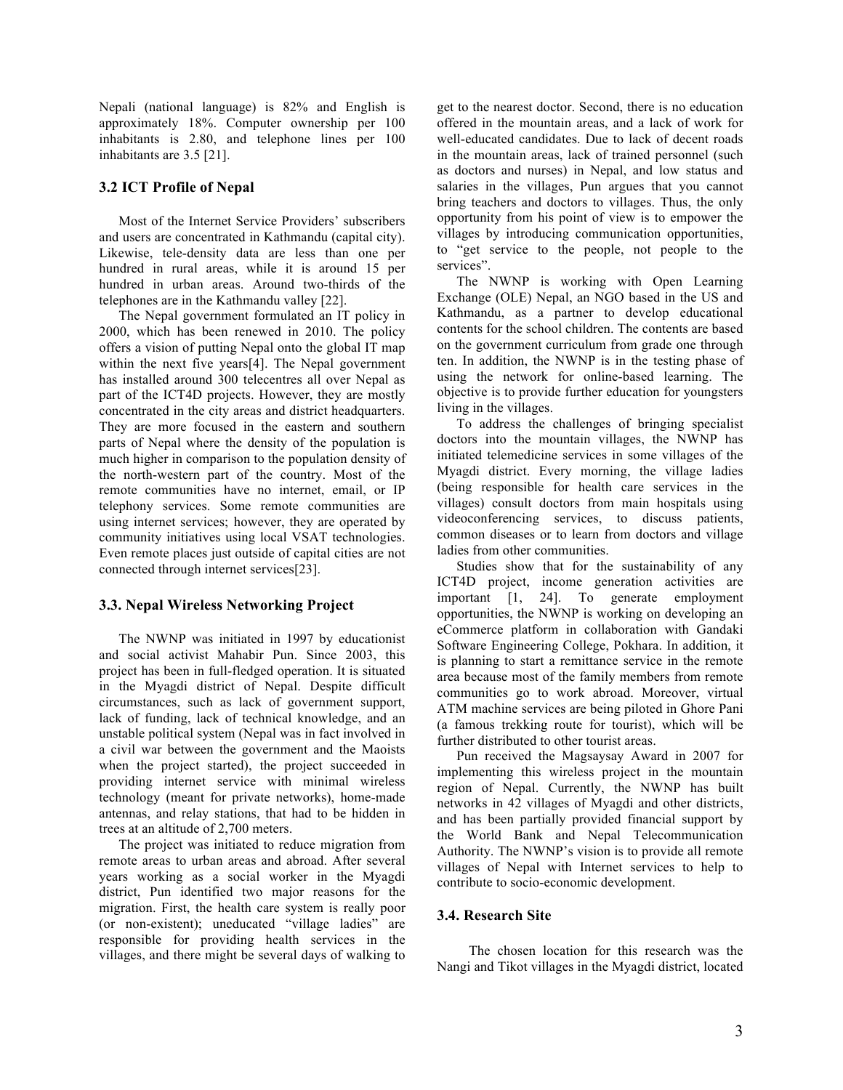Nepali (national language) is 82% and English is approximately 18%. Computer ownership per 100 inhabitants is 2.80, and telephone lines per 100 inhabitants are 3.5 [21].

## **3.2 ICT Profile of Nepal**

Most of the Internet Service Providers' subscribers and users are concentrated in Kathmandu (capital city). Likewise, tele-density data are less than one per hundred in rural areas, while it is around 15 per hundred in urban areas. Around two-thirds of the telephones are in the Kathmandu valley [22].

The Nepal government formulated an IT policy in 2000, which has been renewed in 2010. The policy offers a vision of putting Nepal onto the global IT map within the next five years<sup>[4]</sup>. The Nepal government has installed around 300 telecentres all over Nepal as part of the ICT4D projects. However, they are mostly concentrated in the city areas and district headquarters. They are more focused in the eastern and southern parts of Nepal where the density of the population is much higher in comparison to the population density of the north-western part of the country. Most of the remote communities have no internet, email, or IP telephony services. Some remote communities are using internet services; however, they are operated by community initiatives using local VSAT technologies. Even remote places just outside of capital cities are not connected through internet services[23].

## **3.3. Nepal Wireless Networking Project**

The NWNP was initiated in 1997 by educationist and social activist Mahabir Pun. Since 2003, this project has been in full-fledged operation. It is situated in the Myagdi district of Nepal. Despite difficult circumstances, such as lack of government support, lack of funding, lack of technical knowledge, and an unstable political system (Nepal was in fact involved in a civil war between the government and the Maoists when the project started), the project succeeded in providing internet service with minimal wireless technology (meant for private networks), home-made antennas, and relay stations, that had to be hidden in trees at an altitude of 2,700 meters.

The project was initiated to reduce migration from remote areas to urban areas and abroad. After several years working as a social worker in the Myagdi district, Pun identified two major reasons for the migration. First, the health care system is really poor (or non-existent); uneducated "village ladies" are responsible for providing health services in the villages, and there might be several days of walking to

get to the nearest doctor. Second, there is no education offered in the mountain areas, and a lack of work for well-educated candidates. Due to lack of decent roads in the mountain areas, lack of trained personnel (such as doctors and nurses) in Nepal, and low status and salaries in the villages, Pun argues that you cannot bring teachers and doctors to villages. Thus, the only opportunity from his point of view is to empower the villages by introducing communication opportunities, to "get service to the people, not people to the services".

The NWNP is working with Open Learning Exchange (OLE) Nepal, an NGO based in the US and Kathmandu, as a partner to develop educational contents for the school children. The contents are based on the government curriculum from grade one through ten. In addition, the NWNP is in the testing phase of using the network for online-based learning. The objective is to provide further education for youngsters living in the villages.

To address the challenges of bringing specialist doctors into the mountain villages, the NWNP has initiated telemedicine services in some villages of the Myagdi district. Every morning, the village ladies (being responsible for health care services in the villages) consult doctors from main hospitals using videoconferencing services, to discuss patients, common diseases or to learn from doctors and village ladies from other communities.

Studies show that for the sustainability of any ICT4D project, income generation activities are important [1, 24]. To generate employment opportunities, the NWNP is working on developing an eCommerce platform in collaboration with Gandaki Software Engineering College, Pokhara. In addition, it is planning to start a remittance service in the remote area because most of the family members from remote communities go to work abroad. Moreover, virtual ATM machine services are being piloted in Ghore Pani (a famous trekking route for tourist), which will be further distributed to other tourist areas.

Pun received the Magsaysay Award in 2007 for implementing this wireless project in the mountain region of Nepal. Currently, the NWNP has built networks in 42 villages of Myagdi and other districts, and has been partially provided financial support by the World Bank and Nepal Telecommunication Authority. The NWNP's vision is to provide all remote villages of Nepal with Internet services to help to contribute to socio-economic development.

#### **3.4. Research Site**

 The chosen location for this research was the Nangi and Tikot villages in the Myagdi district, located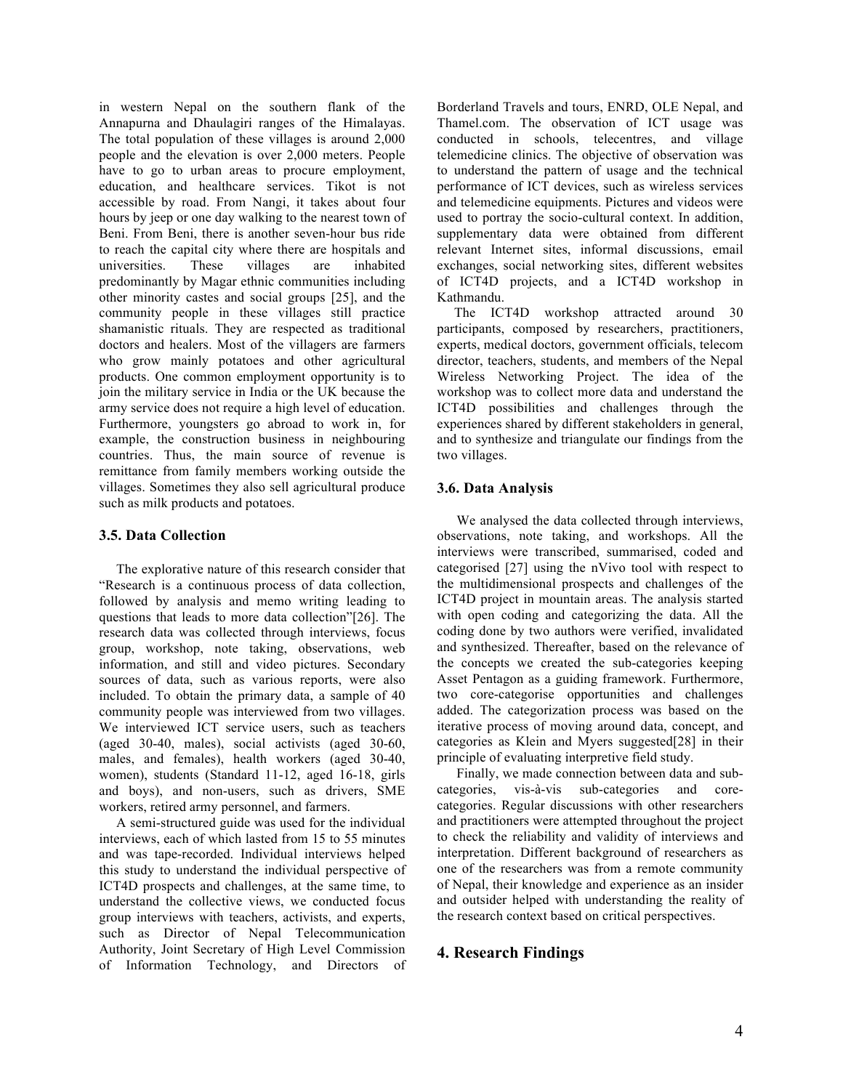in western Nepal on the southern flank of the Annapurna and Dhaulagiri ranges of the Himalayas. The total population of these villages is around 2,000 people and the elevation is over 2,000 meters. People have to go to urban areas to procure employment, education, and healthcare services. Tikot is not accessible by road. From Nangi, it takes about four hours by jeep or one day walking to the nearest town of Beni. From Beni, there is another seven-hour bus ride to reach the capital city where there are hospitals and universities. These villages are inhabited predominantly by Magar ethnic communities including other minority castes and social groups [25], and the community people in these villages still practice shamanistic rituals. They are respected as traditional doctors and healers. Most of the villagers are farmers who grow mainly potatoes and other agricultural products. One common employment opportunity is to join the military service in India or the UK because the army service does not require a high level of education. Furthermore, youngsters go abroad to work in, for example, the construction business in neighbouring countries. Thus, the main source of revenue is remittance from family members working outside the villages. Sometimes they also sell agricultural produce such as milk products and potatoes.

#### **3.5. Data Collection**

 The explorative nature of this research consider that "Research is a continuous process of data collection, followed by analysis and memo writing leading to questions that leads to more data collection"[26]. The research data was collected through interviews, focus group, workshop, note taking, observations, web information, and still and video pictures. Secondary sources of data, such as various reports, were also included. To obtain the primary data, a sample of 40 community people was interviewed from two villages. We interviewed ICT service users, such as teachers (aged 30-40, males), social activists (aged 30-60, males, and females), health workers (aged 30-40, women), students (Standard 11-12, aged 16-18, girls and boys), and non-users, such as drivers, SME workers, retired army personnel, and farmers.

 A semi-structured guide was used for the individual interviews, each of which lasted from 15 to 55 minutes and was tape-recorded. Individual interviews helped this study to understand the individual perspective of ICT4D prospects and challenges, at the same time, to understand the collective views, we conducted focus group interviews with teachers, activists, and experts, such as Director of Nepal Telecommunication Authority, Joint Secretary of High Level Commission of Information Technology, and Directors of Borderland Travels and tours, ENRD, OLE Nepal, and Thamel.com. The observation of ICT usage was conducted in schools, telecentres, and village telemedicine clinics. The objective of observation was to understand the pattern of usage and the technical performance of ICT devices, such as wireless services and telemedicine equipments. Pictures and videos were used to portray the socio-cultural context. In addition, supplementary data were obtained from different relevant Internet sites, informal discussions, email exchanges, social networking sites, different websites of ICT4D projects, and a ICT4D workshop in Kathmandu.

 The ICT4D workshop attracted around 30 participants, composed by researchers, practitioners, experts, medical doctors, government officials, telecom director, teachers, students, and members of the Nepal Wireless Networking Project. The idea of the workshop was to collect more data and understand the ICT4D possibilities and challenges through the experiences shared by different stakeholders in general, and to synthesize and triangulate our findings from the two villages.

## **3.6. Data Analysis**

We analysed the data collected through interviews, observations, note taking, and workshops. All the interviews were transcribed, summarised, coded and categorised [27] using the nVivo tool with respect to the multidimensional prospects and challenges of the ICT4D project in mountain areas. The analysis started with open coding and categorizing the data. All the coding done by two authors were verified, invalidated and synthesized. Thereafter, based on the relevance of the concepts we created the sub-categories keeping Asset Pentagon as a guiding framework. Furthermore, two core-categorise opportunities and challenges added. The categorization process was based on the iterative process of moving around data, concept, and categories as Klein and Myers suggested[28] in their principle of evaluating interpretive field study.

Finally, we made connection between data and subcategories, vis-à-vis sub-categories and corecategories. Regular discussions with other researchers and practitioners were attempted throughout the project to check the reliability and validity of interviews and interpretation. Different background of researchers as one of the researchers was from a remote community of Nepal, their knowledge and experience as an insider and outsider helped with understanding the reality of the research context based on critical perspectives.

# **4. Research Findings**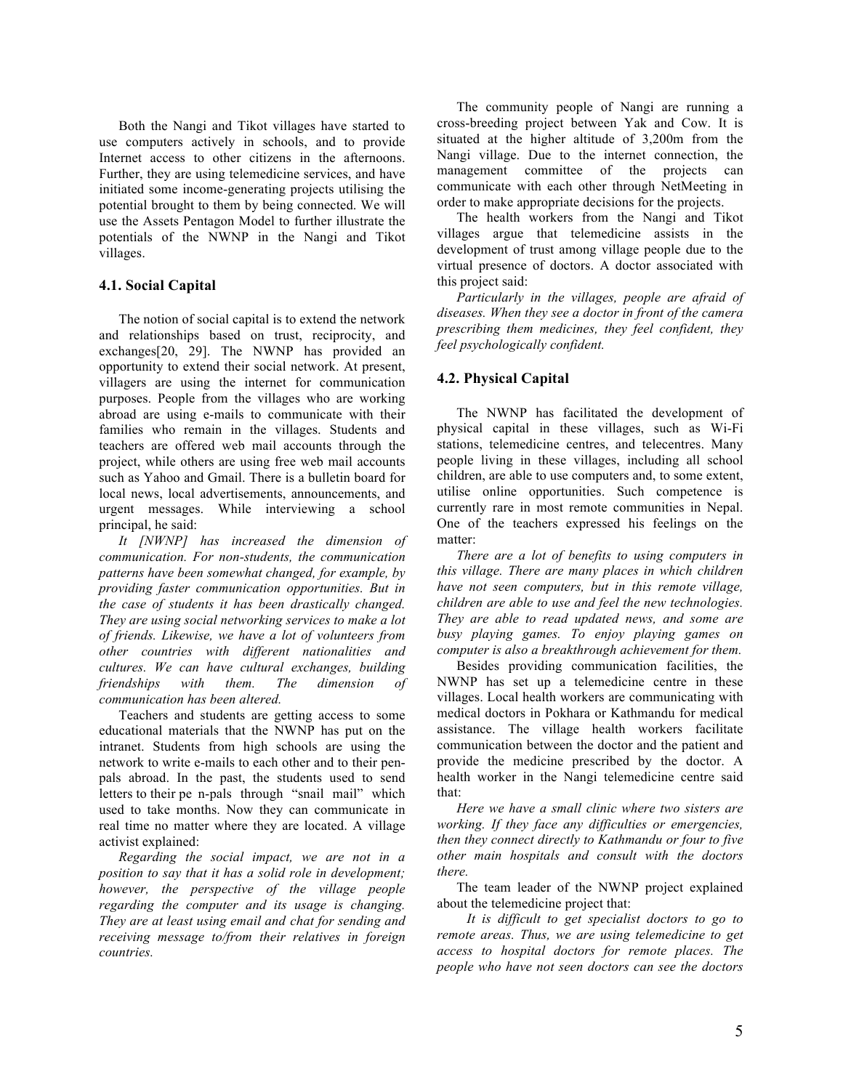Both the Nangi and Tikot villages have started to use computers actively in schools, and to provide Internet access to other citizens in the afternoons. Further, they are using telemedicine services, and have initiated some income-generating projects utilising the potential brought to them by being connected. We will use the Assets Pentagon Model to further illustrate the potentials of the NWNP in the Nangi and Tikot villages.

# **4.1. Social Capital**

The notion of social capital is to extend the network and relationships based on trust, reciprocity, and exchanges[20, 29]. The NWNP has provided an opportunity to extend their social network. At present, villagers are using the internet for communication purposes. People from the villages who are working abroad are using e-mails to communicate with their families who remain in the villages. Students and teachers are offered web mail accounts through the project, while others are using free web mail accounts such as Yahoo and Gmail. There is a bulletin board for local news, local advertisements, announcements, and urgent messages. While interviewing a school principal, he said:

*It [NWNP] has increased the dimension of communication. For non-students, the communication patterns have been somewhat changed, for example, by providing faster communication opportunities. But in the case of students it has been drastically changed. They are using social networking services to make a lot of friends. Likewise, we have a lot of volunteers from other countries with different nationalities and cultures. We can have cultural exchanges, building friendships with them. The dimension of communication has been altered.* 

Teachers and students are getting access to some educational materials that the NWNP has put on the intranet. Students from high schools are using the network to write e-mails to each other and to their penpals abroad. In the past, the students used to send letters to their pe n-pals through "snail mail" which used to take months. Now they can communicate in real time no matter where they are located. A village activist explained:

*Regarding the social impact, we are not in a position to say that it has a solid role in development; however, the perspective of the village people regarding the computer and its usage is changing. They are at least using email and chat for sending and receiving message to/from their relatives in foreign countries.* 

The community people of Nangi are running a cross-breeding project between Yak and Cow. It is situated at the higher altitude of 3,200m from the Nangi village. Due to the internet connection, the management committee of the projects can communicate with each other through NetMeeting in order to make appropriate decisions for the projects.

The health workers from the Nangi and Tikot villages argue that telemedicine assists in the development of trust among village people due to the virtual presence of doctors. A doctor associated with this project said:

*Particularly in the villages, people are afraid of diseases. When they see a doctor in front of the camera prescribing them medicines, they feel confident, they feel psychologically confident.*

## **4.2. Physical Capital**

The NWNP has facilitated the development of physical capital in these villages, such as Wi-Fi stations, telemedicine centres, and telecentres. Many people living in these villages, including all school children, are able to use computers and, to some extent, utilise online opportunities. Such competence is currently rare in most remote communities in Nepal. One of the teachers expressed his feelings on the matter:

*There are a lot of benefits to using computers in this village. There are many places in which children have not seen computers, but in this remote village, children are able to use and feel the new technologies. They are able to read updated news, and some are busy playing games. To enjoy playing games on computer is also a breakthrough achievement for them.*

Besides providing communication facilities, the NWNP has set up a telemedicine centre in these villages. Local health workers are communicating with medical doctors in Pokhara or Kathmandu for medical assistance. The village health workers facilitate communication between the doctor and the patient and provide the medicine prescribed by the doctor. A health worker in the Nangi telemedicine centre said that:

*Here we have a small clinic where two sisters are working. If they face any difficulties or emergencies, then they connect directly to Kathmandu or four to five other main hospitals and consult with the doctors there.*

The team leader of the NWNP project explained about the telemedicine project that:

 *It is difficult to get specialist doctors to go to remote areas. Thus, we are using telemedicine to get access to hospital doctors for remote places. The people who have not seen doctors can see the doctors*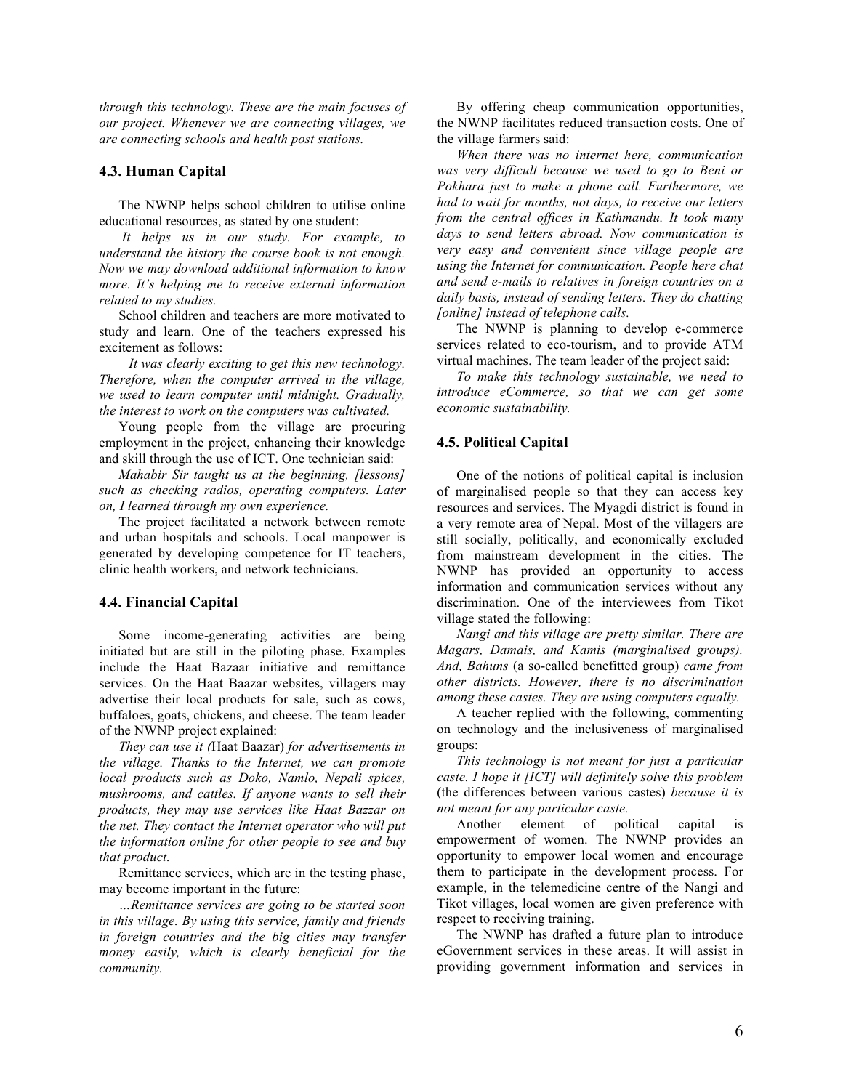*through this technology. These are the main focuses of our project. Whenever we are connecting villages, we are connecting schools and health post stations.*

#### **4.3. Human Capital**

The NWNP helps school children to utilise online educational resources, as stated by one student:

 *It helps us in our study. For example, to understand the history the course book is not enough. Now we may download additional information to know more. It's helping me to receive external information related to my studies.* 

School children and teachers are more motivated to study and learn. One of the teachers expressed his excitement as follows:

 *It was clearly exciting to get this new technology. Therefore, when the computer arrived in the village, we used to learn computer until midnight. Gradually, the interest to work on the computers was cultivated.*

Young people from the village are procuring employment in the project, enhancing their knowledge and skill through the use of ICT. One technician said:

*Mahabir Sir taught us at the beginning, [lessons] such as checking radios, operating computers. Later on, I learned through my own experience.*

The project facilitated a network between remote and urban hospitals and schools. Local manpower is generated by developing competence for IT teachers, clinic health workers, and network technicians.

#### **4.4. Financial Capital**

Some income-generating activities are being initiated but are still in the piloting phase. Examples include the Haat Bazaar initiative and remittance services. On the Haat Baazar websites, villagers may advertise their local products for sale, such as cows, buffaloes, goats, chickens, and cheese. The team leader of the NWNP project explained:

*They can use it (*Haat Baazar) *for advertisements in the village. Thanks to the Internet, we can promote local products such as Doko, Namlo, Nepali spices, mushrooms, and cattles. If anyone wants to sell their products, they may use services like Haat Bazzar on the net. They contact the Internet operator who will put the information online for other people to see and buy that product.* 

Remittance services, which are in the testing phase, may become important in the future:

*…Remittance services are going to be started soon in this village. By using this service, family and friends in foreign countries and the big cities may transfer money easily, which is clearly beneficial for the community.*

By offering cheap communication opportunities, the NWNP facilitates reduced transaction costs. One of the village farmers said:

*When there was no internet here, communication was very difficult because we used to go to Beni or Pokhara just to make a phone call. Furthermore, we had to wait for months, not days, to receive our letters from the central offices in Kathmandu. It took many days to send letters abroad. Now communication is very easy and convenient since village people are using the Internet for communication. People here chat and send e-mails to relatives in foreign countries on a daily basis, instead of sending letters. They do chatting [online] instead of telephone calls.*

The NWNP is planning to develop e-commerce services related to eco-tourism, and to provide ATM virtual machines. The team leader of the project said:

*To make this technology sustainable, we need to introduce eCommerce, so that we can get some economic sustainability.*

#### **4.5. Political Capital**

One of the notions of political capital is inclusion of marginalised people so that they can access key resources and services. The Myagdi district is found in a very remote area of Nepal. Most of the villagers are still socially, politically, and economically excluded from mainstream development in the cities. The NWNP has provided an opportunity to access information and communication services without any discrimination. One of the interviewees from Tikot village stated the following:

*Nangi and this village are pretty similar. There are Magars, Damais, and Kamis (marginalised groups). And, Bahuns* (a so-called benefitted group) *came from other districts. However, there is no discrimination among these castes. They are using computers equally.*

A teacher replied with the following, commenting on technology and the inclusiveness of marginalised groups:

*This technology is not meant for just a particular caste. I hope it [ICT] will definitely solve this problem*  (the differences between various castes) *because it is not meant for any particular caste.*

Another element of political capital is empowerment of women. The NWNP provides an opportunity to empower local women and encourage them to participate in the development process. For example, in the telemedicine centre of the Nangi and Tikot villages, local women are given preference with respect to receiving training.

The NWNP has drafted a future plan to introduce eGovernment services in these areas. It will assist in providing government information and services in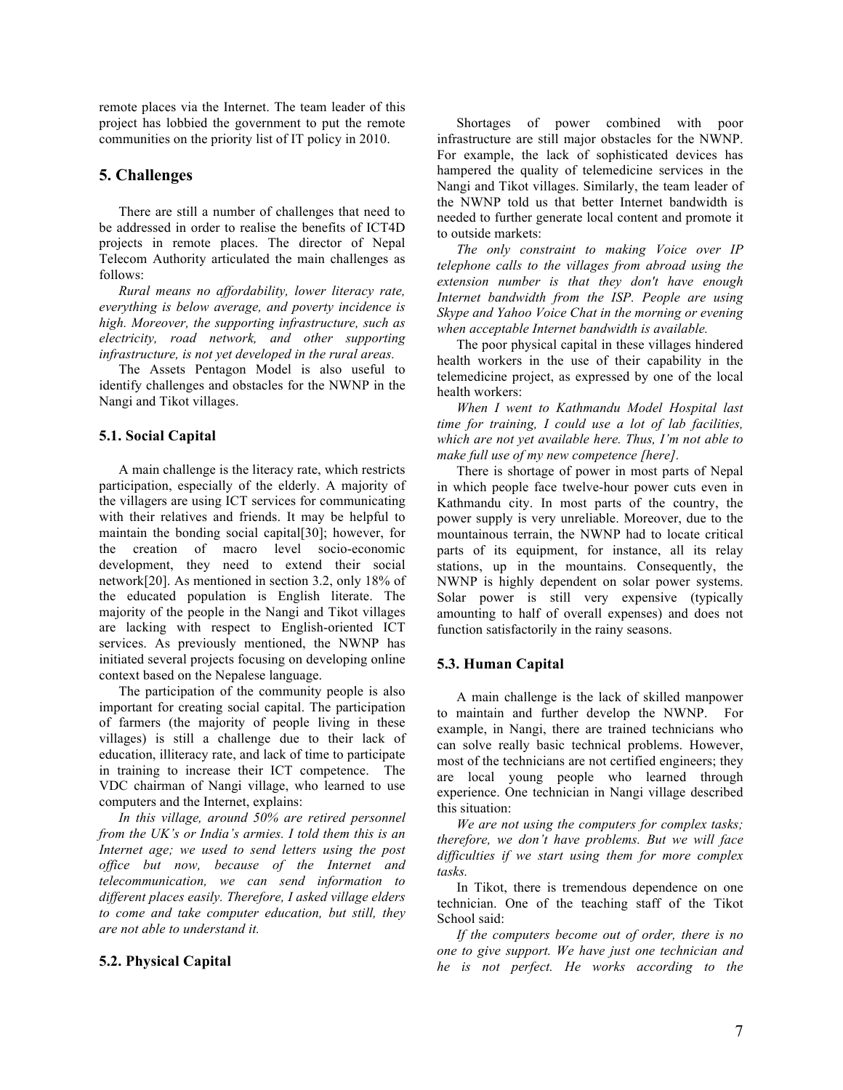remote places via the Internet. The team leader of this project has lobbied the government to put the remote communities on the priority list of IT policy in 2010.

# **5. Challenges**

There are still a number of challenges that need to be addressed in order to realise the benefits of ICT4D projects in remote places. The director of Nepal Telecom Authority articulated the main challenges as follows:

*Rural means no affordability, lower literacy rate, everything is below average, and poverty incidence is high. Moreover, the supporting infrastructure, such as electricity, road network, and other supporting infrastructure, is not yet developed in the rural areas.*

The Assets Pentagon Model is also useful to identify challenges and obstacles for the NWNP in the Nangi and Tikot villages.

# **5.1. Social Capital**

A main challenge is the literacy rate, which restricts participation, especially of the elderly. A majority of the villagers are using ICT services for communicating with their relatives and friends. It may be helpful to maintain the bonding social capital[30]; however, for the creation of macro level socio-economic development, they need to extend their social network[20]. As mentioned in section 3.2, only 18% of the educated population is English literate. The majority of the people in the Nangi and Tikot villages are lacking with respect to English-oriented ICT services. As previously mentioned, the NWNP has initiated several projects focusing on developing online context based on the Nepalese language.

The participation of the community people is also important for creating social capital. The participation of farmers (the majority of people living in these villages) is still a challenge due to their lack of education, illiteracy rate, and lack of time to participate in training to increase their ICT competence. The VDC chairman of Nangi village, who learned to use computers and the Internet, explains:

*In this village, around 50% are retired personnel from the UK's or India's armies. I told them this is an Internet age; we used to send letters using the post office but now, because of the Internet and telecommunication, we can send information to different places easily. Therefore, I asked village elders to come and take computer education, but still, they are not able to understand it.*

# **5.2. Physical Capital**

Shortages of power combined with poor infrastructure are still major obstacles for the NWNP. For example, the lack of sophisticated devices has hampered the quality of telemedicine services in the Nangi and Tikot villages. Similarly, the team leader of the NWNP told us that better Internet bandwidth is needed to further generate local content and promote it to outside markets:

*The only constraint to making Voice over IP telephone calls to the villages from abroad using the extension number is that they don't have enough Internet bandwidth from the ISP. People are using Skype and Yahoo Voice Chat in the morning or evening when acceptable Internet bandwidth is available.*

The poor physical capital in these villages hindered health workers in the use of their capability in the telemedicine project, as expressed by one of the local health workers:

*When I went to Kathmandu Model Hospital last time for training, I could use a lot of lab facilities, which are not yet available here. Thus, I'm not able to make full use of my new competence [here].* 

There is shortage of power in most parts of Nepal in which people face twelve-hour power cuts even in Kathmandu city. In most parts of the country, the power supply is very unreliable. Moreover, due to the mountainous terrain, the NWNP had to locate critical parts of its equipment, for instance, all its relay stations, up in the mountains. Consequently, the NWNP is highly dependent on solar power systems. Solar power is still very expensive (typically amounting to half of overall expenses) and does not function satisfactorily in the rainy seasons.

#### **5.3. Human Capital**

A main challenge is the lack of skilled manpower to maintain and further develop the NWNP. For example, in Nangi, there are trained technicians who can solve really basic technical problems. However, most of the technicians are not certified engineers; they are local young people who learned through experience. One technician in Nangi village described this situation:

*We are not using the computers for complex tasks; therefore, we don't have problems. But we will face difficulties if we start using them for more complex tasks.* 

In Tikot, there is tremendous dependence on one technician. One of the teaching staff of the Tikot School said:

*If the computers become out of order, there is no one to give support. We have just one technician and he is not perfect. He works according to the*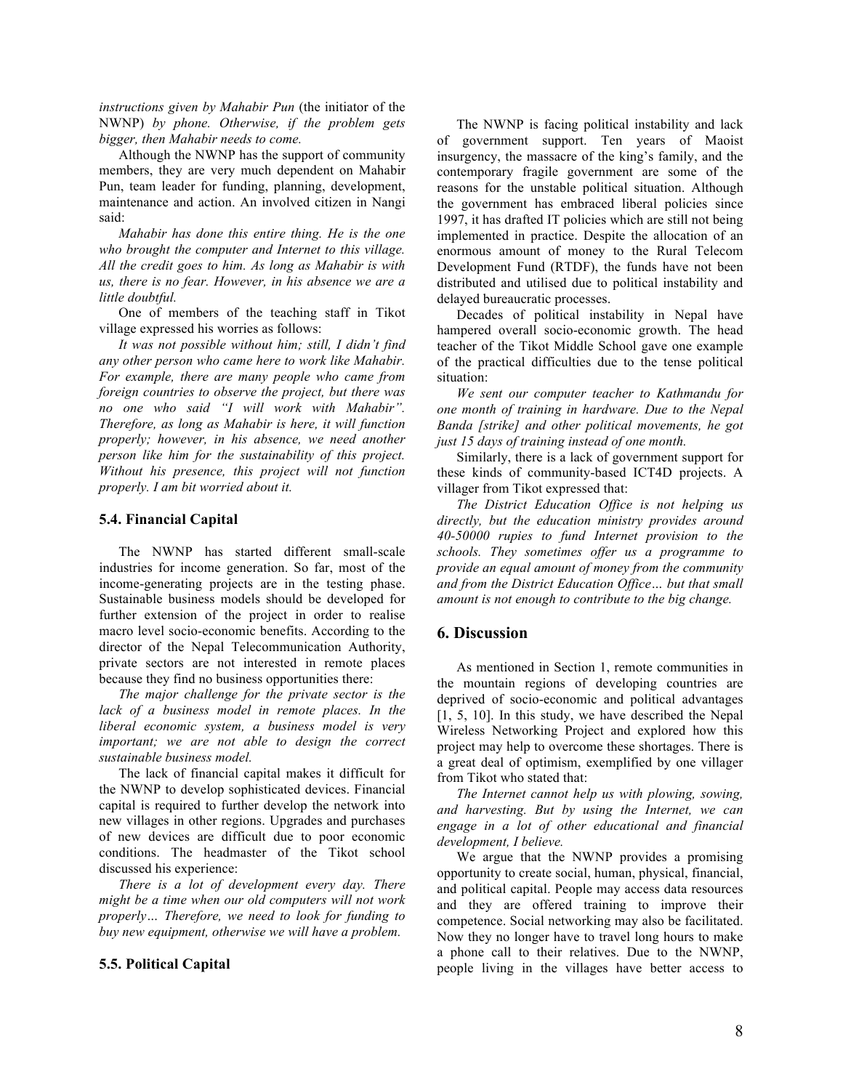*instructions given by Mahabir Pun* (the initiator of the NWNP) *by phone. Otherwise, if the problem gets bigger, then Mahabir needs to come.*

Although the NWNP has the support of community members, they are very much dependent on Mahabir Pun, team leader for funding, planning, development, maintenance and action. An involved citizen in Nangi said:

*Mahabir has done this entire thing. He is the one who brought the computer and Internet to this village. All the credit goes to him. As long as Mahabir is with us, there is no fear. However, in his absence we are a little doubtful.*

One of members of the teaching staff in Tikot village expressed his worries as follows:

*It was not possible without him; still, I didn't find any other person who came here to work like Mahabir. For example, there are many people who came from foreign countries to observe the project, but there was no one who said "I will work with Mahabir". Therefore, as long as Mahabir is here, it will function properly; however, in his absence, we need another person like him for the sustainability of this project. Without his presence, this project will not function properly. I am bit worried about it.*

#### **5.4. Financial Capital**

The NWNP has started different small-scale industries for income generation. So far, most of the income-generating projects are in the testing phase. Sustainable business models should be developed for further extension of the project in order to realise macro level socio-economic benefits. According to the director of the Nepal Telecommunication Authority, private sectors are not interested in remote places because they find no business opportunities there:

*The major challenge for the private sector is the lack of a business model in remote places. In the liberal economic system, a business model is very important; we are not able to design the correct sustainable business model.*

The lack of financial capital makes it difficult for the NWNP to develop sophisticated devices. Financial capital is required to further develop the network into new villages in other regions. Upgrades and purchases of new devices are difficult due to poor economic conditions. The headmaster of the Tikot school discussed his experience:

*There is a lot of development every day. There might be a time when our old computers will not work properly… Therefore, we need to look for funding to buy new equipment, otherwise we will have a problem.*

#### **5.5. Political Capital**

The NWNP is facing political instability and lack of government support. Ten years of Maoist insurgency, the massacre of the king's family, and the contemporary fragile government are some of the reasons for the unstable political situation. Although the government has embraced liberal policies since 1997, it has drafted IT policies which are still not being implemented in practice. Despite the allocation of an enormous amount of money to the Rural Telecom Development Fund (RTDF), the funds have not been distributed and utilised due to political instability and delayed bureaucratic processes.

Decades of political instability in Nepal have hampered overall socio-economic growth. The head teacher of the Tikot Middle School gave one example of the practical difficulties due to the tense political situation:

*We sent our computer teacher to Kathmandu for one month of training in hardware. Due to the Nepal Banda [strike] and other political movements, he got just 15 days of training instead of one month.*

Similarly, there is a lack of government support for these kinds of community-based ICT4D projects. A villager from Tikot expressed that:

*The District Education Office is not helping us directly, but the education ministry provides around 40-50000 rupies to fund Internet provision to the schools. They sometimes offer us a programme to provide an equal amount of money from the community and from the District Education Office… but that small amount is not enough to contribute to the big change.*

# **6. Discussion**

As mentioned in Section 1, remote communities in the mountain regions of developing countries are deprived of socio-economic and political advantages [1, 5, 10]. In this study, we have described the Nepal Wireless Networking Project and explored how this project may help to overcome these shortages. There is a great deal of optimism, exemplified by one villager from Tikot who stated that:

*The Internet cannot help us with plowing, sowing, and harvesting. But by using the Internet, we can engage in a lot of other educational and financial development, I believe.*

We argue that the NWNP provides a promising opportunity to create social, human, physical, financial, and political capital. People may access data resources and they are offered training to improve their competence. Social networking may also be facilitated. Now they no longer have to travel long hours to make a phone call to their relatives. Due to the NWNP, people living in the villages have better access to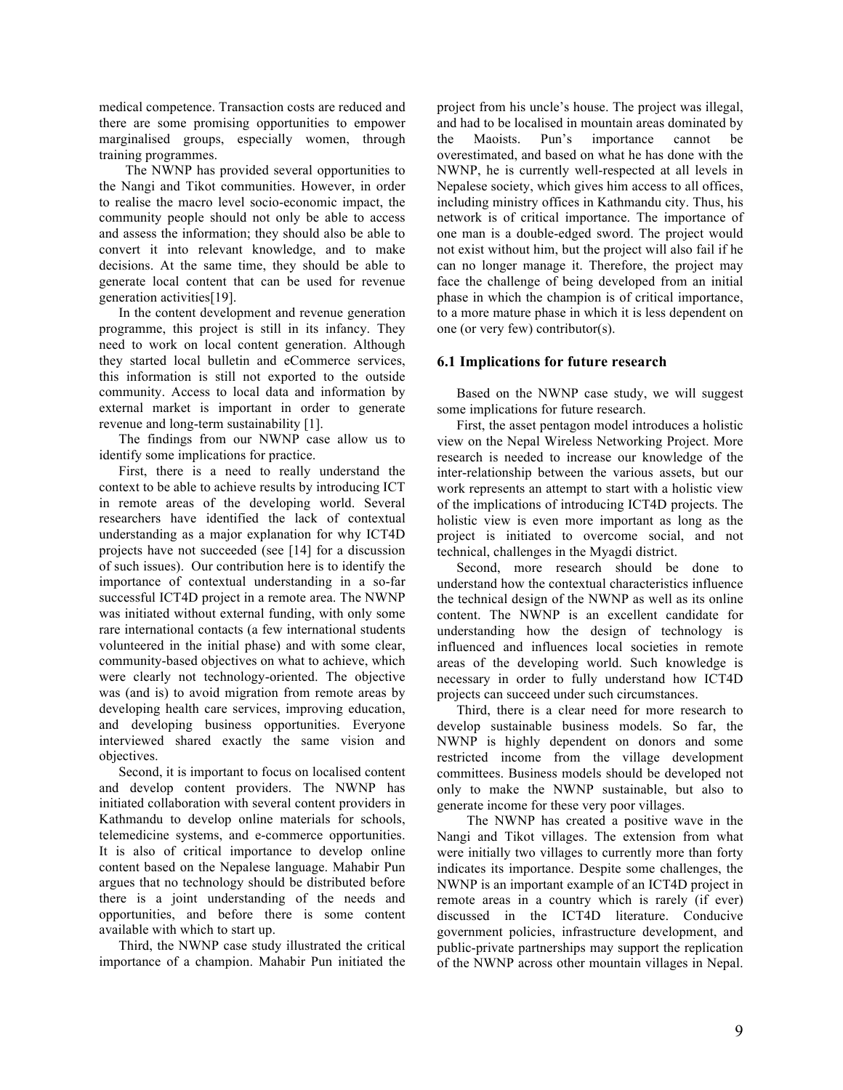medical competence. Transaction costs are reduced and there are some promising opportunities to empower marginalised groups, especially women, through training programmes.

 The NWNP has provided several opportunities to the Nangi and Tikot communities. However, in order to realise the macro level socio-economic impact, the community people should not only be able to access and assess the information; they should also be able to convert it into relevant knowledge, and to make decisions. At the same time, they should be able to generate local content that can be used for revenue generation activities[19].

In the content development and revenue generation programme, this project is still in its infancy. They need to work on local content generation. Although they started local bulletin and eCommerce services, this information is still not exported to the outside community. Access to local data and information by external market is important in order to generate revenue and long-term sustainability [1].

The findings from our NWNP case allow us to identify some implications for practice.

First, there is a need to really understand the context to be able to achieve results by introducing ICT in remote areas of the developing world. Several researchers have identified the lack of contextual understanding as a major explanation for why ICT4D projects have not succeeded (see [14] for a discussion of such issues). Our contribution here is to identify the importance of contextual understanding in a so-far successful ICT4D project in a remote area. The NWNP was initiated without external funding, with only some rare international contacts (a few international students volunteered in the initial phase) and with some clear, community-based objectives on what to achieve, which were clearly not technology-oriented. The objective was (and is) to avoid migration from remote areas by developing health care services, improving education, and developing business opportunities. Everyone interviewed shared exactly the same vision and objectives.

Second, it is important to focus on localised content and develop content providers. The NWNP has initiated collaboration with several content providers in Kathmandu to develop online materials for schools, telemedicine systems, and e-commerce opportunities. It is also of critical importance to develop online content based on the Nepalese language. Mahabir Pun argues that no technology should be distributed before there is a joint understanding of the needs and opportunities, and before there is some content available with which to start up.

Third, the NWNP case study illustrated the critical importance of a champion. Mahabir Pun initiated the project from his uncle's house. The project was illegal, and had to be localised in mountain areas dominated by the Maoists. Pun's importance cannot be overestimated, and based on what he has done with the NWNP, he is currently well-respected at all levels in Nepalese society, which gives him access to all offices, including ministry offices in Kathmandu city. Thus, his network is of critical importance. The importance of one man is a double-edged sword. The project would not exist without him, but the project will also fail if he can no longer manage it. Therefore, the project may face the challenge of being developed from an initial phase in which the champion is of critical importance, to a more mature phase in which it is less dependent on one (or very few) contributor(s).

### **6.1 Implications for future research**

Based on the NWNP case study, we will suggest some implications for future research.

First, the asset pentagon model introduces a holistic view on the Nepal Wireless Networking Project. More research is needed to increase our knowledge of the inter-relationship between the various assets, but our work represents an attempt to start with a holistic view of the implications of introducing ICT4D projects. The holistic view is even more important as long as the project is initiated to overcome social, and not technical, challenges in the Myagdi district.

Second, more research should be done to understand how the contextual characteristics influence the technical design of the NWNP as well as its online content. The NWNP is an excellent candidate for understanding how the design of technology is influenced and influences local societies in remote areas of the developing world. Such knowledge is necessary in order to fully understand how ICT4D projects can succeed under such circumstances.

Third, there is a clear need for more research to develop sustainable business models. So far, the NWNP is highly dependent on donors and some restricted income from the village development committees. Business models should be developed not only to make the NWNP sustainable, but also to generate income for these very poor villages.

 The NWNP has created a positive wave in the Nangi and Tikot villages. The extension from what were initially two villages to currently more than forty indicates its importance. Despite some challenges, the NWNP is an important example of an ICT4D project in remote areas in a country which is rarely (if ever) discussed in the ICT4D literature. Conducive government policies, infrastructure development, and public-private partnerships may support the replication of the NWNP across other mountain villages in Nepal.